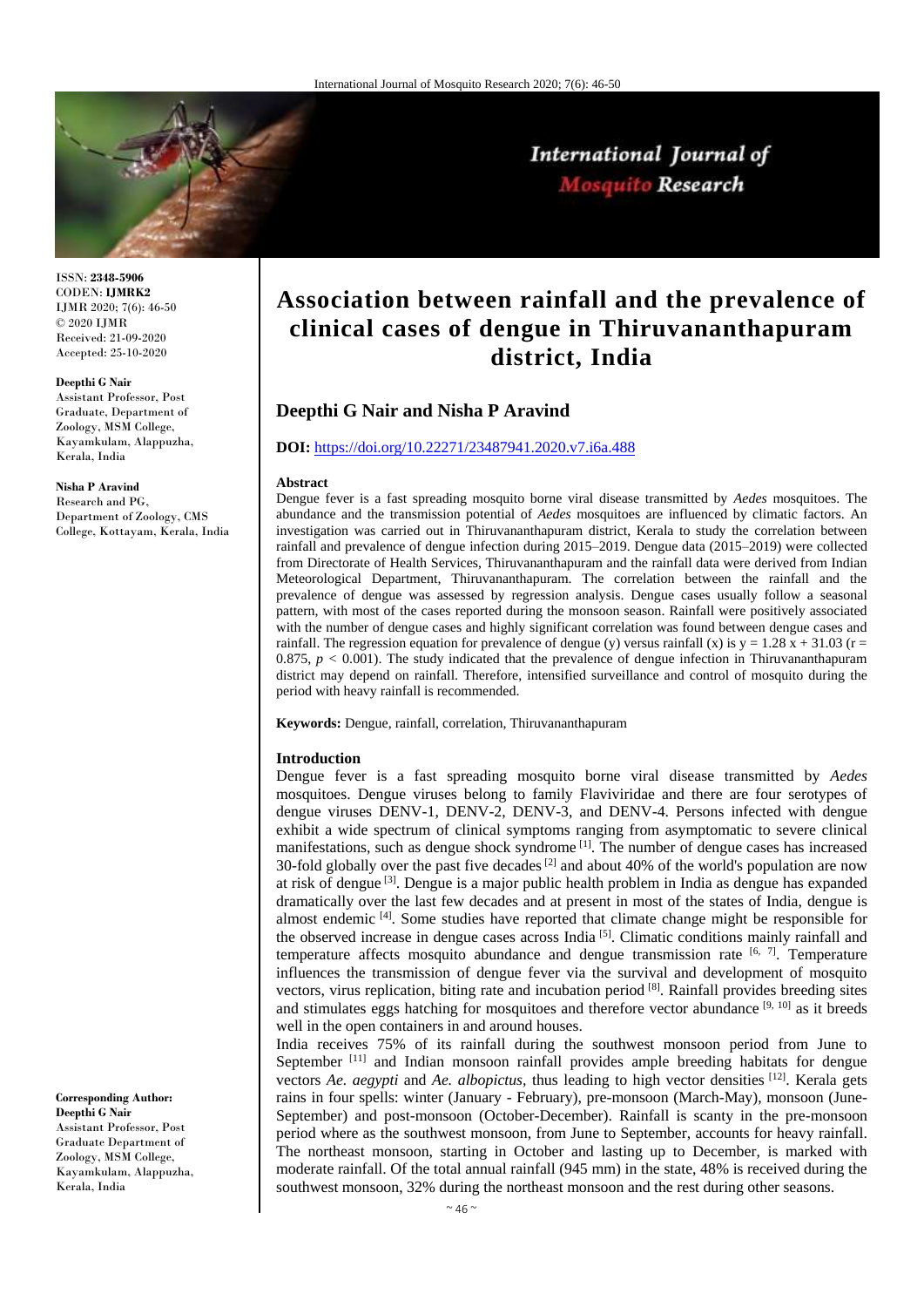

International Journal of Mosquito Research

ISSN: **2348-5906** CODEN: **IJMRK2** IJMR 2020; 7(6): 46-50 © 2020 IJMR Received: 21-09-2020 Accepted: 25-10-2020

#### **Deepthi G Nair**

Assistant Professor, Post Graduate, Department of Zoology, MSM College, Kayamkulam, Alappuzha, Kerala, India

**Nisha P Aravind**

Research and PG, Department of Zoology, CMS College, Kottayam, Kerala, India

**Corresponding Author: Deepthi G Nair**  Assistant Professor, Post Graduate Department of Zoology, MSM College, Kayamkulam, Alappuzha, Kerala, India

# **Association between rainfall and the prevalence of clinical cases of dengue in Thiruvananthapuram district, India**

# **Deepthi G Nair and Nisha P Aravind**

# **DOI:** <https://doi.org/10.22271/23487941.2020.v7.i6a.488>

#### **Abstract**

Dengue fever is a fast spreading mosquito borne viral disease transmitted by *Aedes* mosquitoes. The abundance and the transmission potential of *Aedes* mosquitoes are influenced by climatic factors. An investigation was carried out in Thiruvananthapuram district, Kerala to study the correlation between rainfall and prevalence of dengue infection during 2015–2019. Dengue data (2015–2019) were collected from Directorate of Health Services, Thiruvananthapuram and the rainfall data were derived from Indian Meteorological Department, Thiruvananthapuram. The correlation between the rainfall and the prevalence of dengue was assessed by regression analysis. Dengue cases usually follow a seasonal pattern, with most of the cases reported during the monsoon season. Rainfall were positively associated with the number of dengue cases and highly significant correlation was found between dengue cases and rainfall. The regression equation for prevalence of dengue (y) versus rainfall (x) is  $y = 1.28 x + 31.03$  (r = 0.875,  $p < 0.001$ ). The study indicated that the prevalence of dengue infection in Thiruvananthapuram district may depend on rainfall. Therefore, intensified surveillance and control of mosquito during the period with heavy rainfall is recommended.

**Keywords:** Dengue, rainfall, correlation, Thiruvananthapuram

#### **Introduction**

Dengue fever is a fast spreading mosquito borne viral disease transmitted by *Aedes*  mosquitoes. Dengue viruses belong to family Flaviviridae and there are four serotypes of dengue viruses DENV-1, DENV-2, DENV-3, and DENV-4. Persons infected with dengue exhibit a wide spectrum of clinical symptoms ranging from asymptomatic to severe clinical manifestations, such as dengue shock syndrome<sup>[1]</sup>. The number of dengue cases has increased 30-fold globally over the past five decades  $^{[2]}$  and about 40% of the world's population are now at risk of dengue <sup>[3]</sup>. Dengue is a major public health problem in India as dengue has expanded dramatically over the last few decades and at present in most of the states of India, dengue is almost endemic <sup>[4]</sup>. Some studies have reported that climate change might be responsible for the observed increase in dengue cases across India<sup>[5]</sup>. Climatic conditions mainly rainfall and temperature affects mosquito abundance and dengue transmission rate  $[6, 7]$ . Temperature influences the transmission of dengue fever via the survival and development of mosquito vectors, virus replication, biting rate and incubation period [8]. Rainfall provides breeding sites and stimulates eggs hatching for mosquitoes and therefore vector abundance  $[9, 10]$  as it breeds well in the open containers in and around houses.

India receives 75% of its rainfall during the southwest monsoon period from June to September<sup>[11]</sup> and Indian monsoon rainfall provides ample breeding habitats for dengue vectors *Ae. aegypti* and *Ae. albopictus,* thus leading to high vector densities [12] . Kerala gets rains in four spells: winter (January - February), pre-monsoon (March-May), monsoon (June-September) and post-monsoon (October-December). Rainfall is scanty in the pre-monsoon period where as the southwest monsoon, from June to September, accounts for heavy rainfall. The northeast monsoon, starting in October and lasting up to December, is marked with moderate rainfall. Of the total annual rainfall (945 mm) in the state, 48% is received during the southwest monsoon, 32% during the northeast monsoon and the rest during other seasons.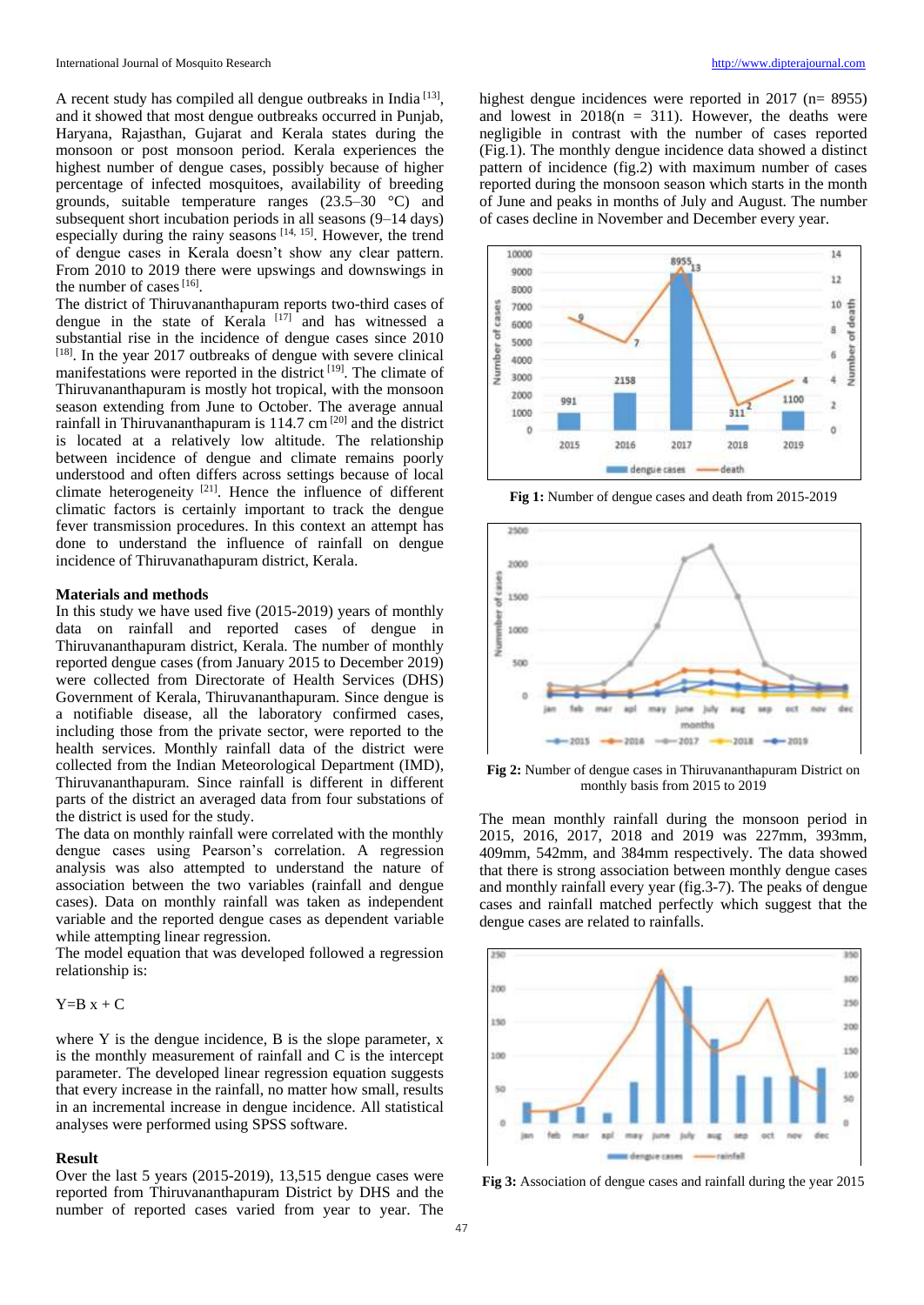A recent study has compiled all dengue outbreaks in India<sup>[13]</sup>, and it showed that most dengue outbreaks occurred in Punjab, Haryana, Rajasthan, Gujarat and Kerala states during the monsoon or post monsoon period. Kerala experiences the highest number of dengue cases, possibly because of higher percentage of infected mosquitoes, availability of breeding grounds, suitable temperature ranges (23.5–30 °C) and subsequent short incubation periods in all seasons (9–14 days) especially during the rainy seasons  $[14, 15]$ . However, the trend of dengue cases in Kerala doesn't show any clear pattern. From 2010 to 2019 there were upswings and downswings in the number of cases  $[16]$ .

The district of Thiruvananthapuram reports two-third cases of dengue in the state of Kerala<sup>[17]</sup> and has witnessed a substantial rise in the incidence of dengue cases since 2010 [18]. In the year 2017 outbreaks of dengue with severe clinical manifestations were reported in the district  $[19]$ . The climate of Thiruvananthapuram is mostly hot tropical, with the monsoon season extending from June to October. The average annual rainfall in Thiruvananthapuram is  $114.7 \text{ cm}^{20}$  and the district is located at a relatively low altitude. The relationship between incidence of dengue and climate remains poorly understood and often differs across settings because of local climate heterogeneity  $[21]$ . Hence the influence of different climatic factors is certainly important to track the dengue fever transmission procedures. In this context an attempt has done to understand the influence of rainfall on dengue incidence of Thiruvanathapuram district, Kerala.

#### **Materials and methods**

In this study we have used five (2015-2019) years of monthly data on rainfall and reported cases of dengue in Thiruvananthapuram district, Kerala. The number of monthly reported dengue cases (from January 2015 to December 2019) were collected from Directorate of Health Services (DHS) Government of Kerala, Thiruvananthapuram. Since dengue is a notifiable disease, all the laboratory confirmed cases, including those from the private sector, were reported to the health services. Monthly rainfall data of the district were collected from the Indian Meteorological Department (IMD), Thiruvananthapuram. Since rainfall is different in different parts of the district an averaged data from four substations of the district is used for the study.

The data on monthly rainfall were correlated with the monthly dengue cases using Pearson's correlation. A regression analysis was also attempted to understand the nature of association between the two variables (rainfall and dengue cases). Data on monthly rainfall was taken as independent variable and the reported dengue cases as dependent variable while attempting linear regression.

The model equation that was developed followed a regression relationship is:

# $Y=B x + C$

where Y is the dengue incidence, B is the slope parameter, x is the monthly measurement of rainfall and C is the intercept parameter. The developed linear regression equation suggests that every increase in the rainfall, no matter how small, results in an incremental increase in dengue incidence. All statistical analyses were performed using SPSS software.

# **Result**

Over the last 5 years (2015-2019), 13,515 dengue cases were reported from Thiruvananthapuram District by DHS and the number of reported cases varied from year to year. The

highest dengue incidences were reported in 2017 (n= 8955) and lowest in  $2018(n = 311)$ . However, the deaths were negligible in contrast with the number of cases reported (Fig.1). The monthly dengue incidence data showed a distinct pattern of incidence (fig.2) with maximum number of cases reported during the monsoon season which starts in the month of June and peaks in months of July and August. The number of cases decline in November and December every year.



**Fig 1:** Number of dengue cases and death from 2015-2019



**Fig 2:** Number of dengue cases in Thiruvananthapuram District on monthly basis from 2015 to 2019

The mean monthly rainfall during the monsoon period in 2015, 2016, 2017, 2018 and 2019 was 227mm, 393mm, 409mm, 542mm, and 384mm respectively. The data showed that there is strong association between monthly dengue cases and monthly rainfall every year (fig.3-7). The peaks of dengue cases and rainfall matched perfectly which suggest that the dengue cases are related to rainfalls.



**Fig 3:** Association of dengue cases and rainfall during the year 2015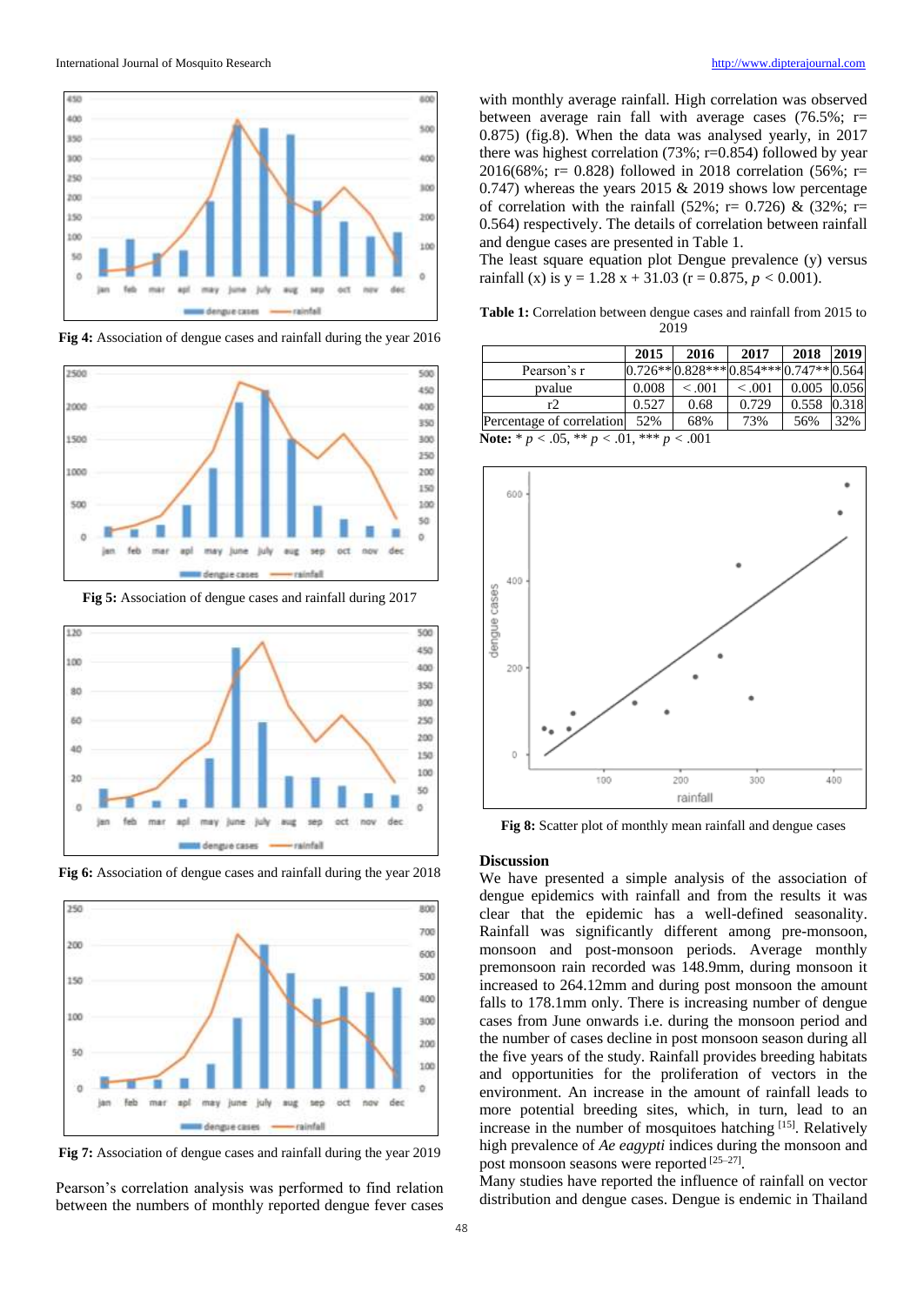

**Fig 4:** Association of dengue cases and rainfall during the year 2016



**Fig 5:** Association of dengue cases and rainfall during 2017



**Fig 6:** Association of dengue cases and rainfall during the year 2018



**Fig 7:** Association of dengue cases and rainfall during the year 2019

Pearson's correlation analysis was performed to find relation between the numbers of monthly reported dengue fever cases

with monthly average rainfall. High correlation was observed between average rain fall with average cases  $(76.5\%; r=$ 0.875) (fig.8). When the data was analysed yearly, in 2017 there was highest correlation (73%; r=0.854) followed by year 2016(68%; r= 0.828) followed in 2018 correlation (56%; r= 0.747) whereas the years 2015  $&$  2019 shows low percentage of correlation with the rainfall (52%; r= 0.726) & (32%; r= 0.564) respectively. The details of correlation between rainfall and dengue cases are presented in Table 1.

The least square equation plot Dengue prevalence (y) versus rainfall (x) is  $y = 1.28x + 31.03$  ( $r = 0.875, p < 0.001$ ).

**Table 1:** Correlation between dengue cases and rainfall from 2015 to 2019

|                                                          | 2015  | 2016    | 2017                                  | 2018          | 2019  |
|----------------------------------------------------------|-------|---------|---------------------------------------|---------------|-------|
| Pearson's r                                              |       |         | $0.726**0.828***0.854***0.747**0.564$ |               |       |
| pvalue                                                   | 0.008 | < 0.001 | < 0.001                               | $0.005$ 0.056 |       |
| r2.                                                      | 0.527 | 0.68    | 0.729                                 | 0.558         | 0.318 |
| Percentage of correlation                                | 52%   | 68%     | 73%                                   | 56%           | 32%   |
| <b>Note:</b> * $p < .05$ , ** $p < .01$ , *** $p < .001$ |       |         |                                       |               |       |



**Fig 8:** Scatter plot of monthly mean rainfall and dengue cases

#### **Discussion**

We have presented a simple analysis of the association of dengue epidemics with rainfall and from the results it was clear that the epidemic has a well-defined seasonality. Rainfall was significantly different among pre-monsoon, monsoon and post-monsoon periods. Average monthly premonsoon rain recorded was 148.9mm, during monsoon it increased to 264.12mm and during post monsoon the amount falls to 178.1mm only. There is increasing number of dengue cases from June onwards i.e. during the monsoon period and the number of cases decline in post monsoon season during all the five years of the study. Rainfall provides breeding habitats and opportunities for the proliferation of vectors in the environment. An increase in the amount of rainfall leads to more potential breeding sites, which, in turn, lead to an increase in the number of mosquitoes hatching [15]. Relatively high prevalence of *Ae eagypti* indices during the monsoon and post monsoon seasons were reported [25-27].

Many studies have reported the influence of rainfall on vector distribution and dengue cases. Dengue is endemic in Thailand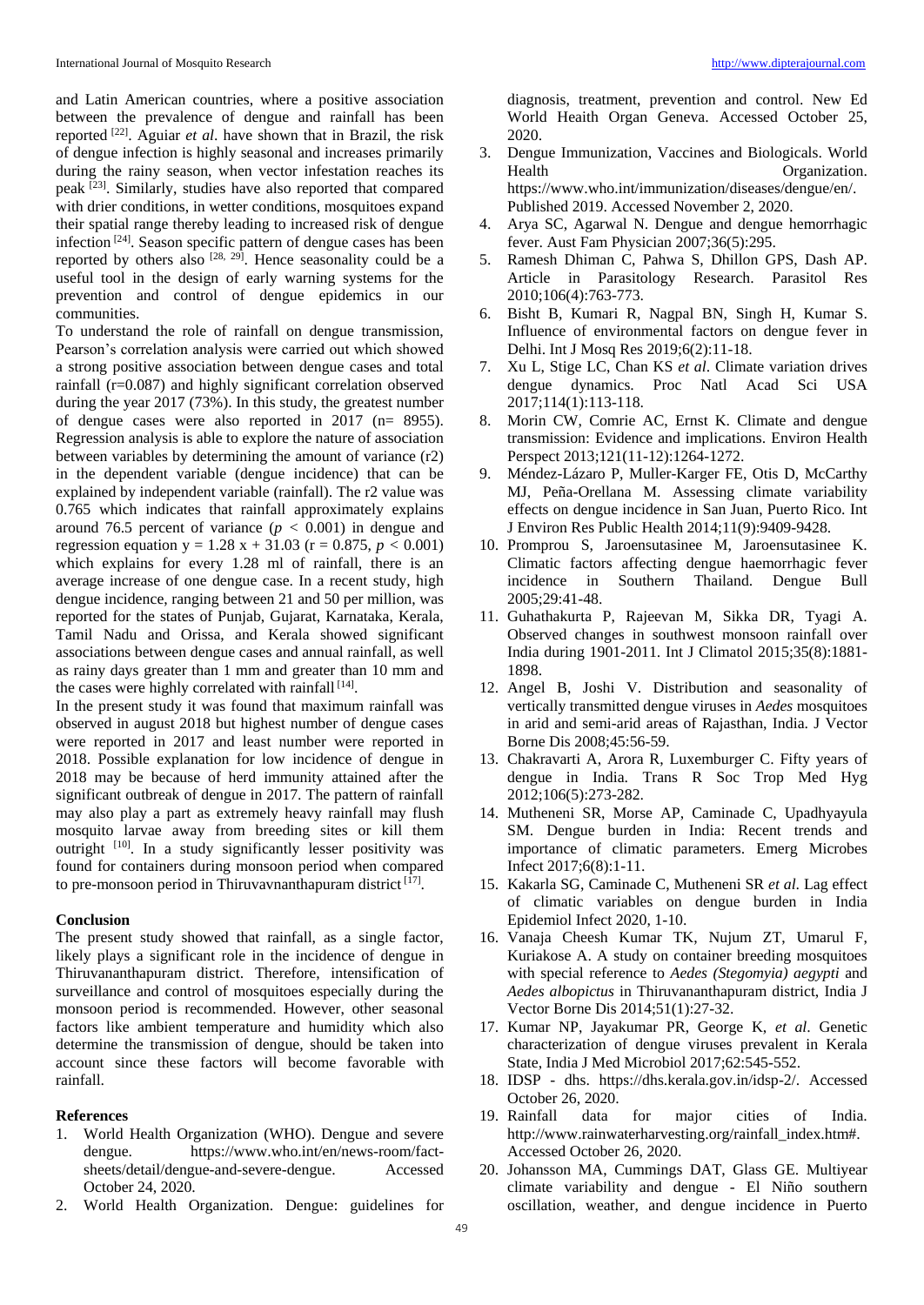and Latin American countries, where a positive association between the prevalence of dengue and rainfall has been reported [22] . Aguiar *et al*. have shown that in Brazil, the risk of dengue infection is highly seasonal and increases primarily during the rainy season, when vector infestation reaches its peak <sup>[23]</sup>. Similarly, studies have also reported that compared with drier conditions, in wetter conditions, mosquitoes expand their spatial range thereby leading to increased risk of dengue infection<sup>[24]</sup>. Season specific pattern of dengue cases has been reported by others also  $[28, 29]$ . Hence seasonality could be a useful tool in the design of early warning systems for the prevention and control of dengue epidemics in our communities.

To understand the role of rainfall on dengue transmission, Pearson's correlation analysis were carried out which showed a strong positive association between dengue cases and total rainfall (r=0.087) and highly significant correlation observed during the year 2017 (73%). In this study, the greatest number of dengue cases were also reported in 2017 (n= 8955). Regression analysis is able to explore the nature of association between variables by determining the amount of variance (r2) in the dependent variable (dengue incidence) that can be explained by independent variable (rainfall). The r2 value was 0.765 which indicates that rainfall approximately explains around 76.5 percent of variance  $(p < 0.001)$  in dengue and regression equation y = 1.28 x + 31.03 (r = 0.875, *p <* 0.001) which explains for every 1.28 ml of rainfall, there is an average increase of one dengue case. In a recent study, high dengue incidence, ranging between 21 and 50 per million, was reported for the states of Punjab, Gujarat, Karnataka, Kerala, Tamil Nadu and Orissa, and Kerala showed significant associations between dengue cases and annual rainfall, as well as rainy days greater than 1 mm and greater than 10 mm and the cases were highly correlated with rainfall [14].

In the present study it was found that maximum rainfall was observed in august 2018 but highest number of dengue cases were reported in 2017 and least number were reported in 2018. Possible explanation for low incidence of dengue in 2018 may be because of herd immunity attained after the significant outbreak of dengue in 2017. The pattern of rainfall may also play a part as extremely heavy rainfall may flush mosquito larvae away from breeding sites or kill them outright <sup>[10]</sup>. In a study significantly lesser positivity was found for containers during monsoon period when compared to pre-monsoon period in Thiruvavnanthapuram district [17].

### **Conclusion**

The present study showed that rainfall, as a single factor, likely plays a significant role in the incidence of dengue in Thiruvananthapuram district. Therefore, intensification of surveillance and control of mosquitoes especially during the monsoon period is recommended. However, other seasonal factors like ambient temperature and humidity which also determine the transmission of dengue, should be taken into account since these factors will become favorable with rainfall.

## **References**

- 1. World Health Organization (WHO). Dengue and severe dengue. https://www.who.int/en/news-room/factsheets/detail/dengue-and-severe-dengue. Accessed October 24, 2020.
- 2. World Health Organization. Dengue: guidelines for

diagnosis, treatment, prevention and control. New Ed World Heaith Organ Geneva. Accessed October 25, 2020.

- 3. Dengue Immunization, Vaccines and Biologicals. World Health Organization. https://www.who.int/immunization/diseases/dengue/en/. Published 2019. Accessed November 2, 2020.
- 4. Arya SC, Agarwal N. Dengue and dengue hemorrhagic fever. Aust Fam Physician 2007;36(5):295.
- 5. Ramesh Dhiman C, Pahwa S, Dhillon GPS, Dash AP. Article in Parasitology Research. Parasitol Res 2010;106(4):763-773.
- 6. Bisht B, Kumari R, Nagpal BN, Singh H, Kumar S. Influence of environmental factors on dengue fever in Delhi. Int J Mosq Res 2019;6(2):11-18.
- 7. Xu L, Stige LC, Chan KS *et al*. Climate variation drives dengue dynamics. Proc Natl Acad Sci USA 2017;114(1):113-118.
- 8. Morin CW, Comrie AC, Ernst K. Climate and dengue transmission: Evidence and implications. Environ Health Perspect 2013;121(11-12):1264-1272.
- 9. Méndez-Lázaro P, Muller-Karger FE, Otis D, McCarthy MJ, Peña-Orellana M. Assessing climate variability effects on dengue incidence in San Juan, Puerto Rico. Int J Environ Res Public Health 2014;11(9):9409-9428.
- 10. Promprou S, Jaroensutasinee M, Jaroensutasinee K. Climatic factors affecting dengue haemorrhagic fever incidence in Southern Thailand. Dengue Bull 2005;29:41-48.
- 11. Guhathakurta P, Rajeevan M, Sikka DR, Tyagi A. Observed changes in southwest monsoon rainfall over India during 1901-2011. Int J Climatol 2015;35(8):1881- 1898.
- 12. Angel B, Joshi V. Distribution and seasonality of vertically transmitted dengue viruses in *Aedes* mosquitoes in arid and semi-arid areas of Rajasthan, India. J Vector Borne Dis 2008;45:56-59.
- 13. Chakravarti A, Arora R, Luxemburger C. Fifty years of dengue in India. Trans R Soc Trop Med Hyg 2012;106(5):273-282.
- 14. Mutheneni SR, Morse AP, Caminade C, Upadhyayula SM. Dengue burden in India: Recent trends and importance of climatic parameters. Emerg Microbes Infect 2017;6(8):1-11.
- 15. Kakarla SG, Caminade C, Mutheneni SR *et al*. Lag effect of climatic variables on dengue burden in India Epidemiol Infect 2020, 1-10.
- 16. Vanaja Cheesh Kumar TK, Nujum ZT, Umarul F, Kuriakose A. A study on container breeding mosquitoes with special reference to *Aedes (Stegomyia) aegypti* and *Aedes albopictus* in Thiruvananthapuram district, India J Vector Borne Dis 2014;51(1):27-32.
- 17. Kumar NP, Jayakumar PR, George K, *et al*. Genetic characterization of dengue viruses prevalent in Kerala State, India J Med Microbiol 2017;62:545-552.
- 18. IDSP dhs. https://dhs.kerala.gov.in/idsp-2/. Accessed October 26, 2020.
- 19. Rainfall data for major cities of India. http://www.rainwaterharvesting.org/rainfall\_index.htm#. Accessed October 26, 2020.
- 20. Johansson MA, Cummings DAT, Glass GE. Multiyear climate variability and dengue - El Niño southern oscillation, weather, and dengue incidence in Puerto